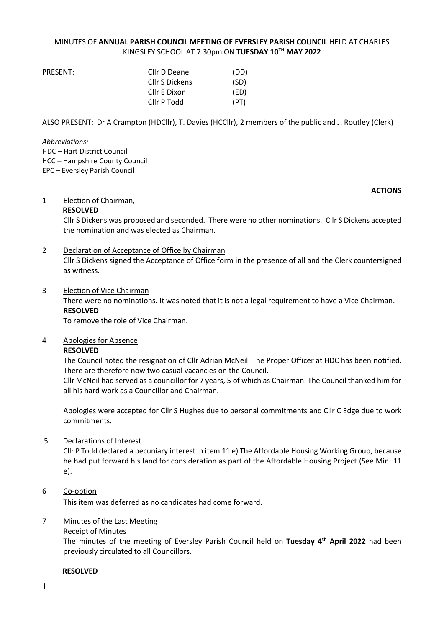#### MINUTES OF **ANNUAL PARISH COUNCIL MEETING OF EVERSLEY PARISH COUNCIL** HELD AT CHARLES KINGSLEY SCHOOL AT 7.30pm ON **TUESDAY 10TH MAY 2022**

| PRESENT: | Cllr D Deane   | (DD) |
|----------|----------------|------|
|          | Cllr S Dickens | (SD) |
|          | Cllr E Dixon   | (ED) |
|          | Cllr P Todd    | (PT) |

ALSO PRESENT: Dr A Crampton (HDCllr), T. Davies (HCCllr), 2 members of the public and J. Routley (Clerk)

*Abbreviations:*  HDC – Hart District Council HCC – Hampshire County Council EPC – Eversley Parish Council

#### **ACTIONS**

#### 1 Election of Chairman,

#### **RESOLVED**

Cllr S Dickens was proposed and seconded. There were no other nominations. Cllr S Dickens accepted the nomination and was elected as Chairman.

#### 2 Declaration of Acceptance of Office by Chairman

Cllr S Dickens signed the Acceptance of Office form in the presence of all and the Clerk countersigned as witness.

#### 3 Election of Vice Chairman

There were no nominations. It was noted that it is not a legal requirement to have a Vice Chairman. **RESOLVED**

To remove the role of Vice Chairman.

#### 4 Apologies for Absence

#### **RESOLVED**

The Council noted the resignation of Cllr Adrian McNeil. The Proper Officer at HDC has been notified. There are therefore now two casual vacancies on the Council.

Cllr McNeil had served as a councillor for 7 years, 5 of which as Chairman. The Council thanked him for all his hard work as a Councillor and Chairman.

Apologies were accepted for Cllr S Hughes due to personal commitments and Cllr C Edge due to work commitments.

#### 5 Declarations of Interest

Cllr P Todd declared a pecuniary interest in item 11 e) The Affordable Housing Working Group, because he had put forward his land for consideration as part of the Affordable Housing Project (See Min: 11 e).

#### 6 Co-option

This item was deferred as no candidates had come forward.

#### 7 Minutes of the Last Meeting

Receipt of Minutes

The minutes of the meeting of Eversley Parish Council held on **Tuesday 4 th April 2022** had been previously circulated to all Councillors.

#### **RESOLVED**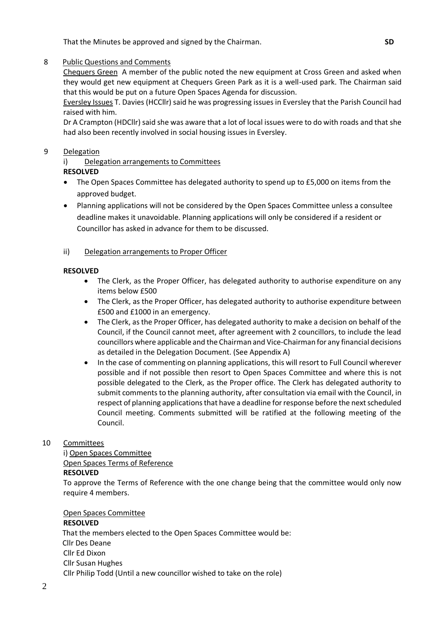That the Minutes be approved and signed by the Chairman. **SD**

#### 8 Public Questions and Comments

Chequers Green A member of the public noted the new equipment at Cross Green and asked when they would get new equipment at Chequers Green Park as it is a well-used park. The Chairman said that this would be put on a future Open Spaces Agenda for discussion.

Eversley Issues T. Davies (HCCllr) said he was progressing issues in Eversley that the Parish Council had raised with him.

Dr A Crampton (HDCllr) said she was aware that a lot of local issues were to do with roads and that she had also been recently involved in social housing issues in Eversley.

#### 9 Delegation

i) Delegation arrangements to Committees

#### **RESOLVED**

- The Open Spaces Committee has delegated authority to spend up to £5,000 on items from the approved budget.
- Planning applications will not be considered by the Open Spaces Committee unless a consultee deadline makes it unavoidable. Planning applications will only be considered if a resident or Councillor has asked in advance for them to be discussed.

#### ii) Delegation arrangements to Proper Officer

#### **RESOLVED**

- The Clerk, as the Proper Officer, has delegated authority to authorise expenditure on any items below £500
- The Clerk, as the Proper Officer, has delegated authority to authorise expenditure between £500 and £1000 in an emergency.
- The Clerk, as the Proper Officer, has delegated authority to make a decision on behalf of the Council, if the Council cannot meet, after agreement with 2 councillors, to include the lead councillors where applicable and the Chairman and Vice-Chairman for any financial decisions as detailed in the Delegation Document. (See Appendix A)
- In the case of commenting on planning applications, this will resort to Full Council wherever possible and if not possible then resort to Open Spaces Committee and where this is not possible delegated to the Clerk, as the Proper office. The Clerk has delegated authority to submit comments to the planning authority, after consultation via email with the Council, in respect of planning applications that have a deadline for response before the next scheduled Council meeting. Comments submitted will be ratified at the following meeting of the Council.

#### 10 Committees

i) Open Spaces Committee Open Spaces Terms of Reference **RESOLVED**

To approve the Terms of Reference with the one change being that the committee would only now require 4 members.

Open Spaces Committee

#### **RESOLVED**

 That the members elected to the Open Spaces Committee would be: Cllr Des Deane Cllr Ed Dixon Cllr Susan Hughes Cllr Philip Todd (Until a new councillor wished to take on the role)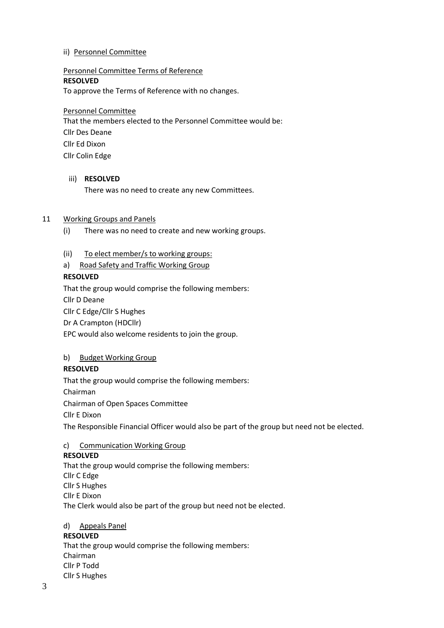#### ii) Personnel Committee

#### Personnel Committee Terms of Reference

#### **RESOLVED**

To approve the Terms of Reference with no changes.

#### Personnel Committee

That the members elected to the Personnel Committee would be: Cllr Des Deane Cllr Ed Dixon Cllr Colin Edge

#### iii) **RESOLVED**

There was no need to create any new Committees.

#### 11 Working Groups and Panels

- (i) There was no need to create and new working groups.
- (ii) To elect member/s to working groups:
- a) Road Safety and Traffic Working Group

#### **RESOLVED**

That the group would comprise the following members:

Cllr D Deane

Cllr C Edge/Cllr S Hughes

Dr A Crampton (HDCllr)

EPC would also welcome residents to join the group.

#### b) Budget Working Group

#### **RESOLVED**

That the group would comprise the following members:

Chairman

Chairman of Open Spaces Committee

Cllr E Dixon

The Responsible Financial Officer would also be part of the group but need not be elected.

#### c) Communication Working Group

#### **RESOLVED**

That the group would comprise the following members: Cllr C Edge Cllr S Hughes Cllr E Dixon The Clerk would also be part of the group but need not be elected.

# d) Appeals Panel

### **RESOLVED**

That the group would comprise the following members: Chairman Cllr P Todd Cllr S Hughes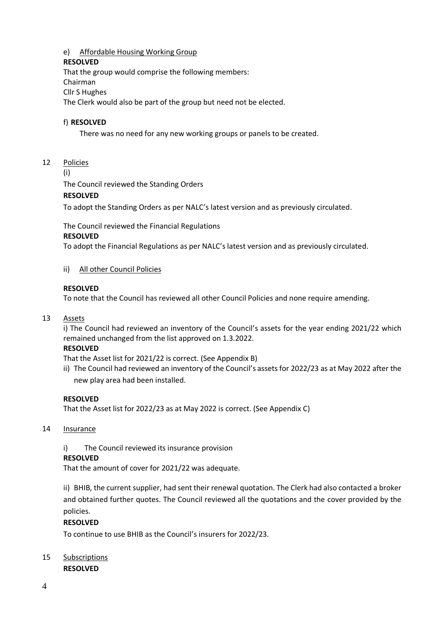#### e) Affordable Housing Working Group

#### **RESOLVED**

That the group would comprise the following members: Chairman Cllr S Hughes The Clerk would also be part of the group but need not be elected.

#### f) **RESOLVED**

There was no need for any new working groups or panels to be created.

#### 12Policies

(i)

The Council reviewed the Standing Orders

#### **RESOLVED**

To adopt the Standing Orders as per NALC's latest version and as previously circulated.

The Council reviewed the Financial Regulations

#### **RESOLVED**

To adopt the Financial Regulations as per NALC's latest version and as previously circulated.

#### ii) All other Council Policies

#### **RESOLVED**

To note that the Council has reviewed all other Council Policies and none require amending.

#### 13 Assets

i) The Council had reviewed an inventory of the Council's assets for the year ending 2021/22 which remained unchanged from the list approved on 1.3.2022.

#### **RESOLVED**

That the Asset list for 2021/22 is correct. (See Appendix B)

ii) The Council had reviewed an inventory of the Council's assets for 2022/23 as at May 2022 after the new play area had been installed.

#### **RESOLVED**

That the Asset list for 2022/23 as at May 2022 is correct. (See Appendix C)

#### 14 Insurance

i) The Council reviewed its insurance provision

#### **RESOLVED**

That the amount of cover for 2021/22 was adequate.

ii) BHIB, the current supplier, had sent their renewal quotation. The Clerk had also contacted a broker and obtained further quotes. The Council reviewed all the quotations and the cover provided by the policies.

#### **RESOLVED**

To continue to use BHIB as the Council's insurers for 2022/23.

#### 15 Subscriptions **RESOLVED**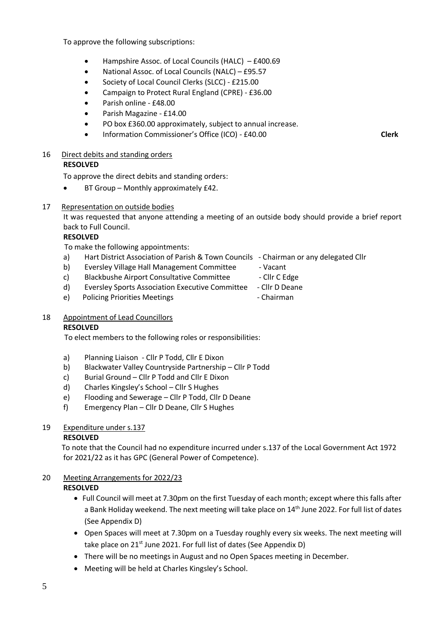To approve the following subscriptions:

- Hampshire Assoc. of Local Councils (HALC) £400.69
- National Assoc. of Local Councils (NALC) £95.57
- Society of Local Council Clerks (SLCC) £215.00
- Campaign to Protect Rural England (CPRE) £36.00
- Parish online £48.00
- Parish Magazine £14.00
- PO box £360.00 approximately, subject to annual increase.
- Information Commissioner's Office (ICO) £40.00 **Clerk**

#### 16 Direct debits and standing orders

#### **RESOLVED**

To approve the direct debits and standing orders:

• BT Group – Monthly approximately £42.

#### 17 Representation on outside bodies

It was requested that anyone attending a meeting of an outside body should provide a brief report back to Full Council.

#### **RESOLVED**

To make the following appointments:

- a) Hart District Association of Parish & Town Councils Chairman or any delegated Cllr
- b) Eversley Village Hall Management Committee Vacant
- c) Blackbushe Airport Consultative Committee Cllr C Edge
	-
- d) Eversley Sports Association Executive Committee Cllr D Deane
- e) Policing Priorities Meetings Chairman

#### 18 Appointment of Lead Councillors

#### **RESOLVED**

To elect members to the following roles or responsibilities:

- a) Planning Liaison Cllr P Todd, Cllr E Dixon
- b) Blackwater Valley Countryside Partnership Cllr P Todd
- c) Burial Ground Cllr P Todd and Cllr E Dixon
- d) Charles Kingsley's School Cllr S Hughes
- e) Flooding and Sewerage Cllr P Todd, Cllr D Deane
- f) Emergency Plan Cllr D Deane, Cllr S Hughes

### 19 Expenditure under s.137

#### **RESOLVED**

 To note that the Council had no expenditure incurred under s.137 of the Local Government Act 1972 for 2021/22 as it has GPC (General Power of Competence).

#### 20 Meeting Arrangements for 2022/23 **RESOLVED**

- Full Council will meet at 7.30pm on the first Tuesday of each month; except where this falls after a Bank Holiday weekend. The next meeting will take place on 14<sup>th</sup> June 2022. For full list of dates (See Appendix D)
- Open Spaces will meet at 7.30pm on a Tuesday roughly every six weeks. The next meeting will take place on 21<sup>st</sup> June 2021. For full list of dates (See Appendix D)
- There will be no meetings in August and no Open Spaces meeting in December.
- Meeting will be held at Charles Kingsley's School.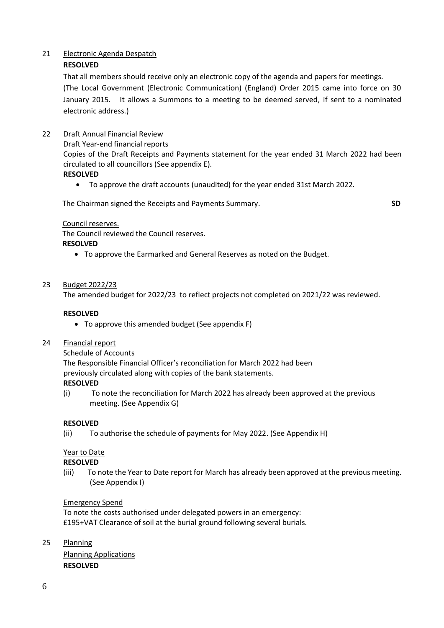#### 21 Electronic Agenda Despatch

### **RESOLVED**

That all members should receive only an electronic copy of the agenda and papers for meetings. (The Local Government (Electronic Communication) (England) Order 2015 came into force on 30 January 2015. It allows a Summons to a meeting to be deemed served, if sent to a nominated electronic address.)

#### 22 Draft Annual Financial Review

#### Draft Year-end financial reports

Copies of the Draft Receipts and Payments statement for the year ended 31 March 2022 had been circulated to all councillors (See appendix E).

#### **RESOLVED**

• To approve the draft accounts (unaudited) for the year ended 31st March 2022.

The Chairman signed the Receipts and Payments Summary. **SD**

#### Council reserves.

The Council reviewed the Council reserves.

#### **RESOLVED**

• To approve the Earmarked and General Reserves as noted on the Budget.

#### 23 Budget 2022/23

The amended budget for 2022/23 to reflect projects not completed on 2021/22 was reviewed.

#### **RESOLVED**

- To approve this amended budget (See appendix F)
- 24 Financial report

#### Schedule of Accounts

The Responsible Financial Officer's reconciliation for March 2022 had been previously circulated along with copies of the bank statements.

#### **RESOLVED**

(i) To note the reconciliation for March 2022 has already been approved at the previous meeting. (See Appendix G)

#### **RESOLVED**

(ii) To authorise the schedule of payments for May 2022. (See Appendix H)

### Year to Date

#### **RESOLVED**

(iii) To note the Year to Date report for March has already been approved at the previous meeting. (See Appendix I)

#### Emergency Spend

To note the costs authorised under delegated powers in an emergency: £195+VAT Clearance of soil at the burial ground following several burials.

25 Planning

Planning Applications **RESOLVED**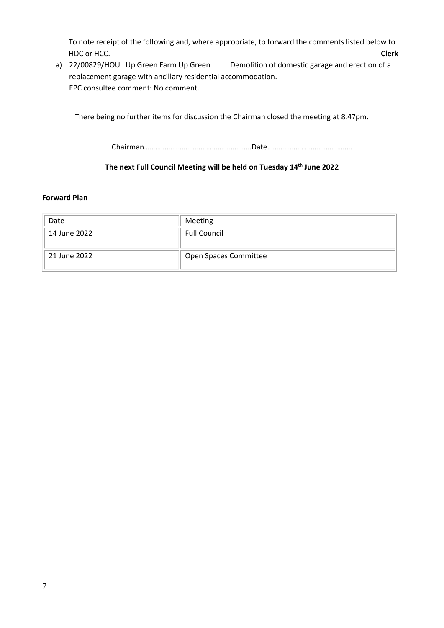To note receipt of the following and, where appropriate, to forward the comments listed below to HDC or HCC. **Clerk**

a) 22/00829/HOU Up Green Farm Up Green Demolition of domestic garage and erection of a replacement garage with ancillary residential accommodation. EPC consultee comment: No comment.

There being no further items for discussion the Chairman closed the meeting at 8.47pm.

Chairman…………………………………………………Date………………………………………

#### **The next Full Council Meeting will be held on Tuesday 14th June 2022**

#### **Forward Plan**

| Date         | Meeting               |
|--------------|-----------------------|
| 14 June 2022 | <b>Full Council</b>   |
| 21 June 2022 | Open Spaces Committee |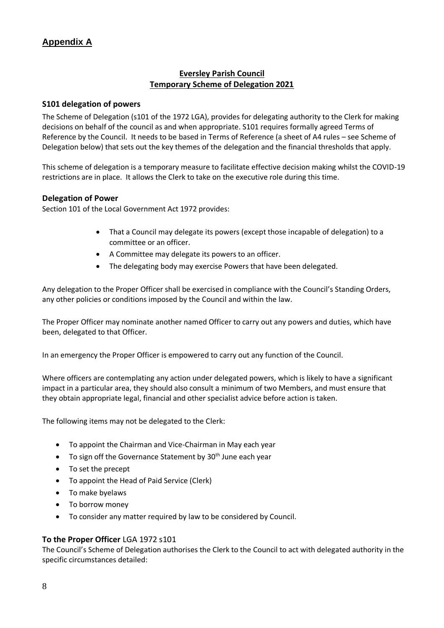### **Eversley Parish Council Temporary Scheme of Delegation 2021**

#### **S101 delegation of powers**

The Scheme of Delegation (s101 of the 1972 LGA), provides for delegating authority to the Clerk for making decisions on behalf of the council as and when appropriate. S101 requires formally agreed Terms of Reference by the Council. It needs to be based in Terms of Reference (a sheet of A4 rules – see Scheme of Delegation below) that sets out the key themes of the delegation and the financial thresholds that apply.

This scheme of delegation is a temporary measure to facilitate effective decision making whilst the COVID-19 restrictions are in place. It allows the Clerk to take on the executive role during this time.

#### **Delegation of Power**

Section 101 of the Local Government Act 1972 provides:

- That a Council may delegate its powers (except those incapable of delegation) to a committee or an officer.
- A Committee may delegate its powers to an officer.
- The delegating body may exercise Powers that have been delegated.

Any delegation to the Proper Officer shall be exercised in compliance with the Council's Standing Orders, any other policies or conditions imposed by the Council and within the law.

The Proper Officer may nominate another named Officer to carry out any powers and duties, which have been, delegated to that Officer.

In an emergency the Proper Officer is empowered to carry out any function of the Council.

Where officers are contemplating any action under delegated powers, which is likely to have a significant impact in a particular area, they should also consult a minimum of two Members, and must ensure that they obtain appropriate legal, financial and other specialist advice before action is taken.

The following items may not be delegated to the Clerk:

- To appoint the Chairman and Vice-Chairman in May each year
- To sign off the Governance Statement by  $30<sup>th</sup>$  June each year
- To set the precept
- To appoint the Head of Paid Service (Clerk)
- To make byelaws
- To borrow money
- To consider any matter required by law to be considered by Council.

#### **To the Proper Officer** LGA 1972 s101

The Council's Scheme of Delegation authorises the Clerk to the Council to act with delegated authority in the specific circumstances detailed: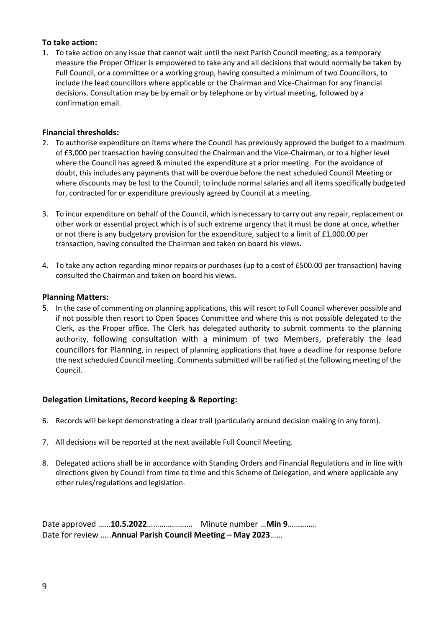#### **To take action:**

1. To take action on any issue that cannot wait until the next Parish Council meeting; as a temporary measure the Proper Officer is empowered to take any and all decisions that would normally be taken by Full Council, or a committee or a working group, having consulted a minimum of two Councillors, to include the lead councillors where applicable or the Chairman and Vice-Chairman for any financial decisions. Consultation may be by email or by telephone or by virtual meeting, followed by a confirmation email.

#### **Financial thresholds:**

- 2. To authorise expenditure on items where the Council has previously approved the budget to a maximum of £3,000 per transaction having consulted the Chairman and the Vice-Chairman, or to a higher level where the Council has agreed & minuted the expenditure at a prior meeting. For the avoidance of doubt, this includes any payments that will be overdue before the next scheduled Council Meeting or where discounts may be lost to the Council; to include normal salaries and all items specifically budgeted for, contracted for or expenditure previously agreed by Council at a meeting.
- 3. To incur expenditure on behalf of the Council, which is necessary to carry out any repair, replacement or other work or essential project which is of such extreme urgency that it must be done at once, whether or not there is any budgetary provision for the expenditure, subject to a limit of £1,000.00 per transaction, having consulted the Chairman and taken on board his views.
- 4. To take any action regarding minor repairs or purchases (up to a cost of £500.00 per transaction) having consulted the Chairman and taken on board his views.

#### **Planning Matters:**

5. In the case of commenting on planning applications, this will resort to Full Council wherever possible and if not possible then resort to Open Spaces Committee and where this is not possible delegated to the Clerk, as the Proper office. The Clerk has delegated authority to submit comments to the planning authority, following consultation with a minimum of two Members, preferably the lead councillors for Planning, in respect of planning applications that have a deadline for response before the next scheduled Council meeting. Comments submitted will be ratified at the following meeting of the Council.

#### **Delegation Limitations, Record keeping & Reporting:**

- 6. Records will be kept demonstrating a clear trail (particularly around decision making in any form).
- 7. All decisions will be reported at the next available Full Council Meeting.
- 8. Delegated actions shall be in accordance with Standing Orders and Financial Regulations and in line with directions given by Council from time to time and this Scheme of Delegation, and where applicable any other rules/regulations and legislation.

Date approved ……**10.5.2022**…………………. Minute number …**Min 9**………….. Date for review …..**Annual Parish Council Meeting – May 2023**……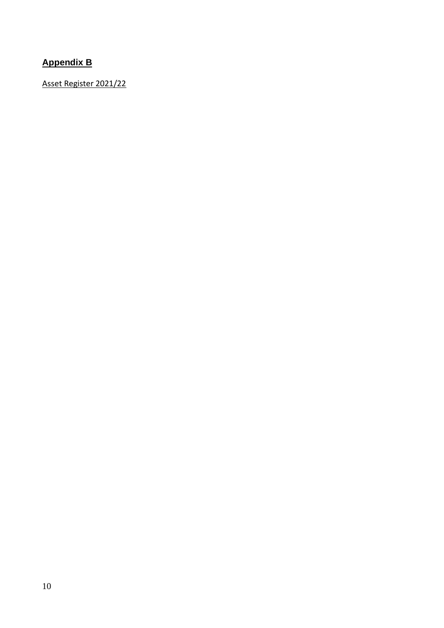# **Appendix B**

Asset Register 2021/22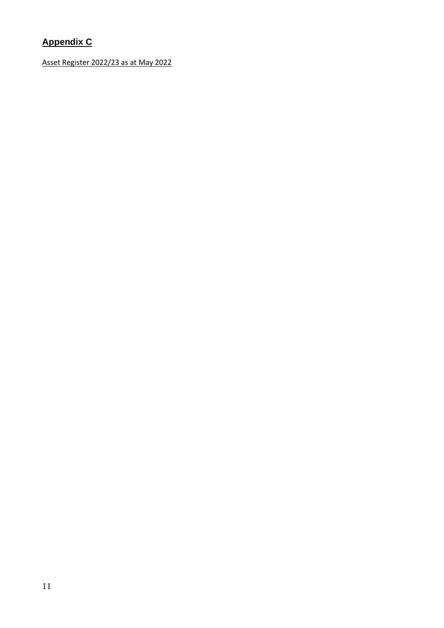# **Appendix C**

Asset Register 2022/23 as at May 2022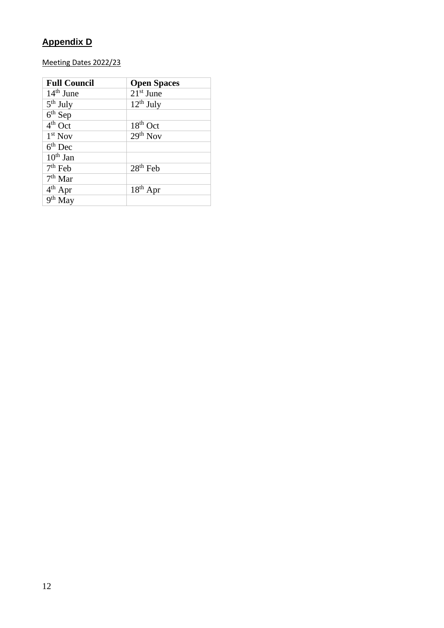## **Appendix D**

## Meeting Dates 2022/23

| <b>Full Council</b> | <b>Open Spaces</b>   |
|---------------------|----------------------|
| $14th$ June         | $21st$ June          |
| $5th$ July          | $12^{th}$ July       |
| $6th$ Sep           |                      |
| $4th$ Oct           | $18th$ Oct           |
| $1st$ Nov           | $29th$ Nov           |
| $6th$ Dec           |                      |
| $10th$ Jan          |                      |
| $7th$ Feb           | 28 <sup>th</sup> Feb |
| $7th$ Mar           |                      |
| $4th$ Apr           | $18th$ Apr           |
| $9th$ May           |                      |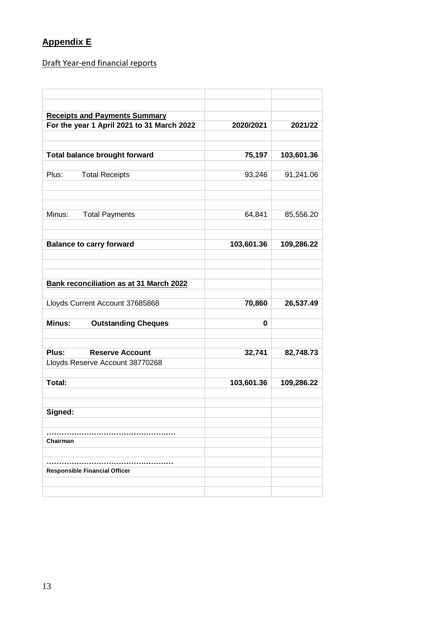## **Appendix E**

Draft Year-end financial reports

| <b>Receipts and Payments Summary</b>           |            |            |
|------------------------------------------------|------------|------------|
| For the year 1 April 2021 to 31 March 2022     | 2020/2021  | 2021/22    |
|                                                | 75,197     |            |
| <b>Total balance brought forward</b>           |            | 103,601.36 |
| Plus:<br><b>Total Receipts</b>                 | 93,246     | 91,241.06  |
|                                                |            |            |
| Minus:<br><b>Total Payments</b>                | 64,841     | 85,556.20  |
| <b>Balance to carry forward</b>                | 103,601.36 | 109,286.22 |
|                                                |            |            |
| <b>Bank reconciliation as at 31 March 2022</b> |            |            |
| Lloyds Current Account 37685868                | 70,860     | 26,537.49  |
| Minus:<br><b>Outstanding Cheques</b>           | 0          |            |
| Plus:<br><b>Reserve Account</b>                | 32,741     | 82,748.73  |
| Lloyds Reserve Account 38770268                |            |            |
| Total:                                         | 103,601.36 | 109,286.22 |
| Signed:                                        |            |            |
| Chairman                                       |            |            |
|                                                |            |            |
| <b>Responsible Financial Officer</b>           |            |            |
|                                                |            |            |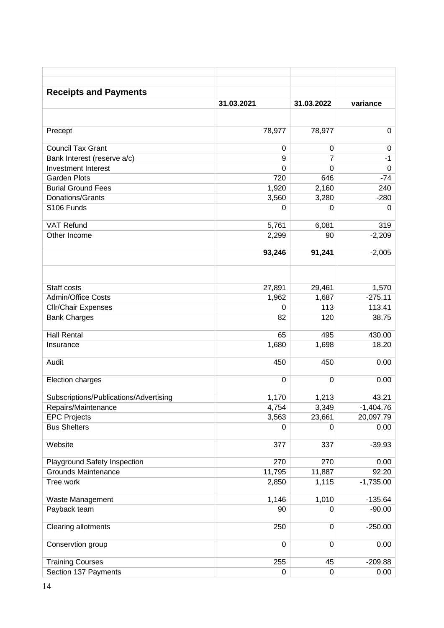| <b>Receipts and Payments</b>               |            |                |                   |
|--------------------------------------------|------------|----------------|-------------------|
|                                            | 31.03.2021 | 31.03.2022     | variance          |
|                                            |            |                |                   |
| Precept                                    | 78,977     | 78,977         | 0                 |
| <b>Council Tax Grant</b>                   | $\pmb{0}$  | 0              | 0                 |
| Bank Interest (reserve a/c)                | 9          | $\overline{7}$ | $-1$              |
| <b>Investment Interest</b>                 | 0          | 0              | $\mathbf 0$       |
| <b>Garden Plots</b>                        | 720        | 646            | $-74$             |
| <b>Burial Ground Fees</b>                  | 1,920      | 2,160          | 240               |
| Donations/Grants                           | 3,560      | 3,280          | $-280$            |
| S106 Funds                                 | 0          | 0              | 0                 |
| <b>VAT Refund</b>                          | 5,761      | 6,081          | 319               |
| Other Income                               | 2,299      | 90             | $-2,209$          |
|                                            | 93,246     | 91,241         | $-2,005$          |
|                                            |            |                |                   |
| Staff costs                                | 27,891     | 29,461         | 1,570             |
| Admin/Office Costs                         | 1,962      | 1,687          | $-275.11$         |
| <b>Cllr/Chair Expenses</b>                 | 0          | 113            | 113.41            |
| <b>Bank Charges</b>                        | 82         | 120            | 38.75             |
| <b>Hall Rental</b>                         | 65         | 495            | 430.00            |
| Insurance                                  | 1,680      | 1,698          | 18.20             |
| Audit                                      | 450        | 450            | 0.00              |
| Election charges                           | 0          | 0              | 0.00              |
|                                            |            |                |                   |
| Subscriptions/Publications/Advertising     | 1,170      | 1,213          | 43.21             |
| Repairs/Maintenance                        | 4,754      | 3,349          | $-1,404.76$       |
| <b>EPC Projects</b><br><b>Bus Shelters</b> | 3,563<br>0 | 23,661<br>0    | 20,097.79<br>0.00 |
| Website                                    | 377        | 337            | $-39.93$          |
|                                            |            |                |                   |
| Playground Safety Inspection               | 270        | 270            | 0.00              |
| <b>Grounds Maintenance</b>                 | 11,795     | 11,887         | 92.20             |
| Tree work                                  | 2,850      | 1,115          | $-1,735.00$       |
| Waste Management                           | 1,146      | 1,010          | $-135.64$         |
| Payback team                               | 90         | 0              | $-90.00$          |
| Clearing allotments                        | 250        | 0              | $-250.00$         |
| Conservtion group                          | $\pmb{0}$  | 0              | 0.00              |
| <b>Training Courses</b>                    | 255        | 45             | $-209.88$         |
| Section 137 Payments                       | 0          | 0              | 0.00              |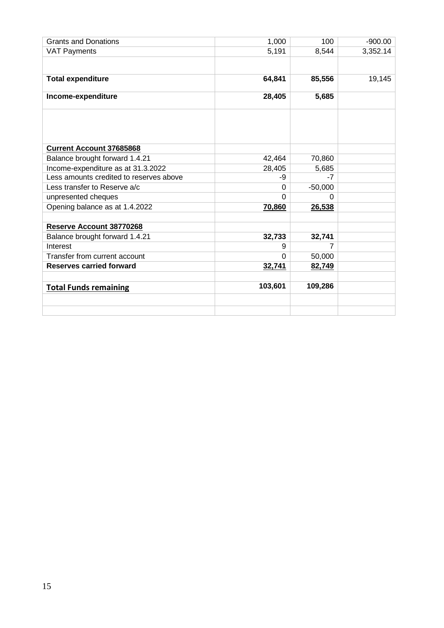| <b>Grants and Donations</b>             | 1,000        | 100       | $-900.00$ |
|-----------------------------------------|--------------|-----------|-----------|
| <b>VAT Payments</b>                     | 5,191        | 8,544     | 3,352.14  |
|                                         |              |           |           |
|                                         |              |           |           |
| <b>Total expenditure</b>                | 64,841       | 85,556    | 19,145    |
| Income-expenditure                      | 28,405       | 5,685     |           |
|                                         |              |           |           |
|                                         |              |           |           |
|                                         |              |           |           |
|                                         |              |           |           |
| <b>Current Account 37685868</b>         |              |           |           |
|                                         |              |           |           |
| Balance brought forward 1.4.21          | 42,464       | 70,860    |           |
| Income-expenditure as at 31.3.2022      | 28,405       | 5,685     |           |
| Less amounts credited to reserves above | -9           | $-7$      |           |
| Less transfer to Reserve a/c            | 0            | $-50,000$ |           |
| unpresented cheques                     | <sup>0</sup> | U         |           |
| Opening balance as at 1.4.2022          | 70,860       | 26,538    |           |
|                                         |              |           |           |
| Reserve Account 38770268                |              |           |           |
| Balance brought forward 1.4.21          | 32,733       | 32,741    |           |
| Interest                                | 9            | 7         |           |
| Transfer from current account           | $\Omega$     | 50,000    |           |
| <b>Reserves carried forward</b>         | 32,741       | 82,749    |           |
|                                         |              |           |           |
| <b>Total Funds remaining</b>            | 103,601      | 109,286   |           |
|                                         |              |           |           |
|                                         |              |           |           |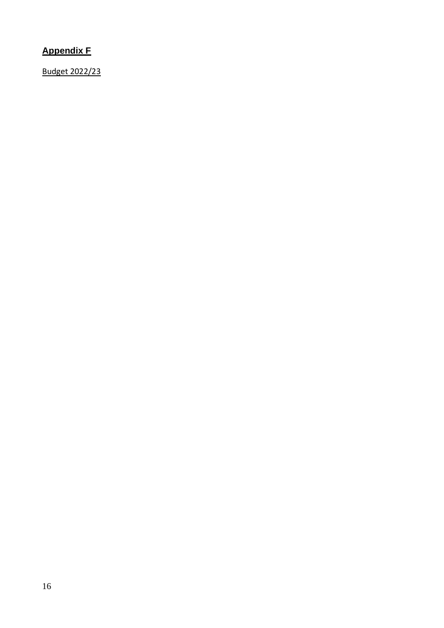## **Appendix F**

Budget 2022/23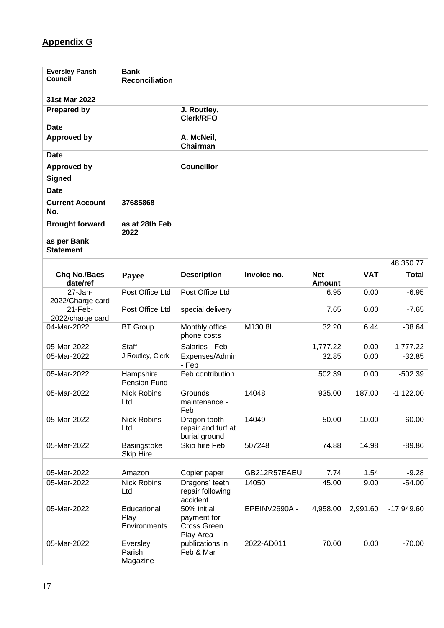# **Appendix G**

| <b>Eversley Parish</b>          | <b>Bank</b>                         |                                                        |               |                             |            |              |
|---------------------------------|-------------------------------------|--------------------------------------------------------|---------------|-----------------------------|------------|--------------|
| <b>Council</b>                  | <b>Reconciliation</b>               |                                                        |               |                             |            |              |
| 31st Mar 2022                   |                                     |                                                        |               |                             |            |              |
| <b>Prepared by</b>              |                                     | J. Routley,<br><b>Clerk/RFO</b>                        |               |                             |            |              |
| <b>Date</b>                     |                                     |                                                        |               |                             |            |              |
| <b>Approved by</b>              |                                     | A. McNeil,<br>Chairman                                 |               |                             |            |              |
| <b>Date</b>                     |                                     |                                                        |               |                             |            |              |
| <b>Approved by</b>              |                                     | <b>Councillor</b>                                      |               |                             |            |              |
| <b>Signed</b>                   |                                     |                                                        |               |                             |            |              |
| <b>Date</b>                     |                                     |                                                        |               |                             |            |              |
| <b>Current Account</b><br>No.   | 37685868                            |                                                        |               |                             |            |              |
| <b>Brought forward</b>          | as at 28th Feb<br>2022              |                                                        |               |                             |            |              |
| as per Bank<br><b>Statement</b> |                                     |                                                        |               |                             |            |              |
|                                 |                                     |                                                        |               |                             |            | 48,350.77    |
| <b>Chq No./Bacs</b><br>date/ref | Payee                               | <b>Description</b>                                     | Invoice no.   | <b>Net</b><br><b>Amount</b> | <b>VAT</b> | <b>Total</b> |
| $27 - Jan -$                    | Post Office Ltd                     | Post Office Ltd                                        |               | 6.95                        | 0.00       | $-6.95$      |
| 2022/Charge card<br>21-Feb-     | Post Office Ltd                     | special delivery                                       |               | 7.65                        | 0.00       | $-7.65$      |
| 2022/charge card<br>04-Mar-2022 | <b>BT</b> Group                     | Monthly office<br>phone costs                          | M130 8L       | 32.20                       | 6.44       | $-38.64$     |
| 05-Mar-2022                     | <b>Staff</b>                        | Salaries - Feb                                         |               | 1,777.22                    | 0.00       | $-1,777.22$  |
| 05-Mar-2022                     | J Routley, Clerk                    | Expenses/Admin<br>- Feb                                |               | 32.85                       | 0.00       | $-32.85$     |
| 05-Mar-2022                     | Hampshire<br>Pension Fund           | Feb contribution                                       |               | 502.39                      | 0.00       | $-502.39$    |
| 05-Mar-2022                     | <b>Nick Robins</b><br>Ltd           | Grounds<br>maintenance -<br>Feb                        | 14048         | 935.00                      | 187.00     | $-1,122.00$  |
| 05-Mar-2022                     | <b>Nick Robins</b><br>Ltd           | Dragon tooth<br>repair and turf at<br>burial ground    | 14049         | 50.00                       | 10.00      | $-60.00$     |
| 05-Mar-2022                     | Basingstoke<br><b>Skip Hire</b>     | Skip hire Feb                                          | 507248        | 74.88                       | 14.98      | $-89.86$     |
| 05-Mar-2022                     | Amazon                              | Copier paper                                           | GB212R57EAEUI | 7.74                        | 1.54       | $-9.28$      |
| 05-Mar-2022                     | <b>Nick Robins</b>                  | Dragons' teeth                                         | 14050         | 45.00                       | 9.00       | $-54.00$     |
|                                 | Ltd                                 | repair following<br>accident                           |               |                             |            |              |
| 05-Mar-2022                     | Educational<br>Play<br>Environments | 50% initial<br>payment for<br>Cross Green<br>Play Area | EPEINV2690A - | 4,958.00                    | 2,991.60   | $-17,949.60$ |
| 05-Mar-2022                     | Eversley<br>Parish<br>Magazine      | publications in<br>Feb & Mar                           | 2022-AD011    | 70.00                       | 0.00       | $-70.00$     |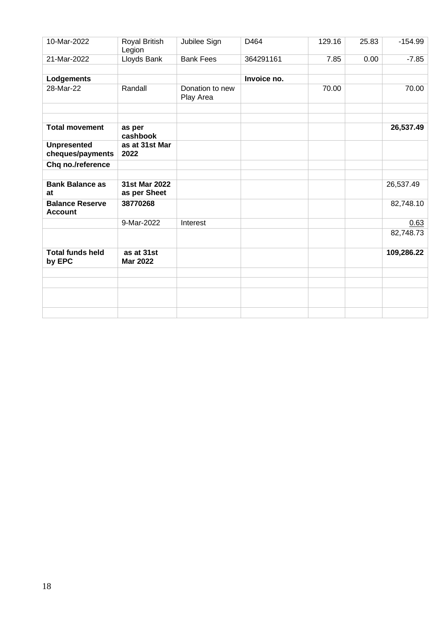| 10-Mar-2022                              | Royal British<br>Legion       | Jubilee Sign                 | D464        | 129.16 | 25.83 | $-154.99$  |
|------------------------------------------|-------------------------------|------------------------------|-------------|--------|-------|------------|
| 21-Mar-2022                              | Lloyds Bank                   | <b>Bank Fees</b>             | 364291161   | 7.85   | 0.00  | $-7.85$    |
| Lodgements                               |                               |                              | Invoice no. |        |       |            |
| 28-Mar-22                                | Randall                       | Donation to new<br>Play Area |             | 70.00  |       | 70.00      |
|                                          |                               |                              |             |        |       |            |
| <b>Total movement</b>                    | as per<br>cashbook            |                              |             |        |       | 26,537.49  |
| <b>Unpresented</b><br>cheques/payments   | as at 31st Mar<br>2022        |                              |             |        |       |            |
| Chq no./reference                        |                               |                              |             |        |       |            |
| <b>Bank Balance as</b><br>at             | 31st Mar 2022<br>as per Sheet |                              |             |        |       | 26,537.49  |
| <b>Balance Reserve</b><br><b>Account</b> | 38770268                      |                              |             |        |       | 82,748.10  |
|                                          | 9-Mar-2022                    | Interest                     |             |        |       | 0.63       |
|                                          |                               |                              |             |        |       | 82,748.73  |
| <b>Total funds held</b><br>by EPC        | as at 31st<br><b>Mar 2022</b> |                              |             |        |       | 109,286.22 |
|                                          |                               |                              |             |        |       |            |
|                                          |                               |                              |             |        |       |            |
|                                          |                               |                              |             |        |       |            |
|                                          |                               |                              |             |        |       |            |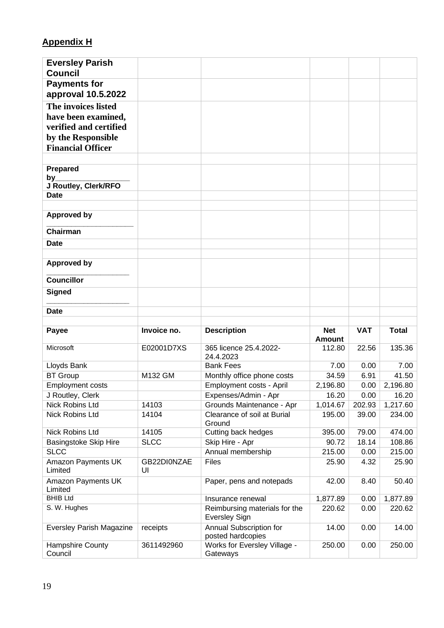# **Appendix H**

| <b>Eversley Parish</b>                    |             |                                                       |                             |            |              |
|-------------------------------------------|-------------|-------------------------------------------------------|-----------------------------|------------|--------------|
| <b>Council</b>                            |             |                                                       |                             |            |              |
| <b>Payments for</b><br>approval 10.5.2022 |             |                                                       |                             |            |              |
| The invoices listed                       |             |                                                       |                             |            |              |
| have been examined,                       |             |                                                       |                             |            |              |
| verified and certified                    |             |                                                       |                             |            |              |
| by the Responsible                        |             |                                                       |                             |            |              |
| <b>Financial Officer</b>                  |             |                                                       |                             |            |              |
|                                           |             |                                                       |                             |            |              |
| <b>Prepared</b>                           |             |                                                       |                             |            |              |
| by_                                       |             |                                                       |                             |            |              |
| J Routley, Clerk/RFO                      |             |                                                       |                             |            |              |
| <b>Date</b>                               |             |                                                       |                             |            |              |
|                                           |             |                                                       |                             |            |              |
| <b>Approved by</b>                        |             |                                                       |                             |            |              |
| Chairman                                  |             |                                                       |                             |            |              |
| <b>Date</b>                               |             |                                                       |                             |            |              |
|                                           |             |                                                       |                             |            |              |
| <b>Approved by</b>                        |             |                                                       |                             |            |              |
| Councillor                                |             |                                                       |                             |            |              |
| <b>Signed</b>                             |             |                                                       |                             |            |              |
|                                           |             |                                                       |                             |            |              |
| <b>Date</b>                               |             |                                                       |                             |            |              |
|                                           |             |                                                       |                             |            |              |
| Payee                                     | Invoice no. | <b>Description</b>                                    | <b>Net</b><br><b>Amount</b> | <b>VAT</b> | <b>Total</b> |
| Microsoft                                 | E02001D7XS  | 365 licence 25.4.2022-<br>24.4.2023                   | 112.80                      | 22.56      | 135.36       |
| Lloyds Bank                               |             | <b>Bank Fees</b>                                      | 7.00                        | 0.00       | 7.00         |
| <b>BT</b> Group                           | M132 GM     | Monthly office phone costs                            | 34.59                       | 6.91       | 41.50        |
| <b>Employment costs</b>                   |             | Employment costs - April                              | 2,196.80                    | 0.00       | 2,196.80     |
| J Routley, Clerk                          |             | Expenses/Admin - Apr                                  | 16.20                       | 0.00       | 16.20        |
| Nick Robins Ltd                           | 14103       | Grounds Maintenance - Apr                             | 1,014.67                    | 202.93     | 1,217.60     |
| Nick Robins Ltd                           | 14104       | Clearance of soil at Burial<br>Ground                 | 195.00                      | 39.00      | 234.00       |
| Nick Robins Ltd                           | 14105       | Cutting back hedges                                   | 395.00                      | 79.00      | 474.00       |
| <b>Basingstoke Skip Hire</b>              | <b>SLCC</b> | Skip Hire - Apr                                       | 90.72                       | 18.14      | 108.86       |
| <b>SLCC</b>                               |             | Annual membership                                     | 215.00                      | 0.00       | 215.00       |
| Amazon Payments UK                        | GB22DI0NZAE | Files                                                 | 25.90                       | 4.32       | 25.90        |
| Limited                                   | UI          |                                                       |                             |            |              |
| Amazon Payments UK<br>Limited             |             | Paper, pens and notepads                              | 42.00                       | 8.40       | 50.40        |
| <b>BHIB Ltd</b>                           |             | Insurance renewal                                     | 1,877.89                    | 0.00       | 1,877.89     |
| S. W. Hughes                              |             | Reimbursing materials for the<br><b>Eversley Sign</b> | 220.62                      | 0.00       | 220.62       |
| <b>Eversley Parish Magazine</b>           | receipts    | Annual Subscription for<br>posted hardcopies          | 14.00                       | 0.00       | 14.00        |
| Hampshire County<br>Council               | 3611492960  | Works for Eversley Village -<br>Gateways              | 250.00                      | 0.00       | 250.00       |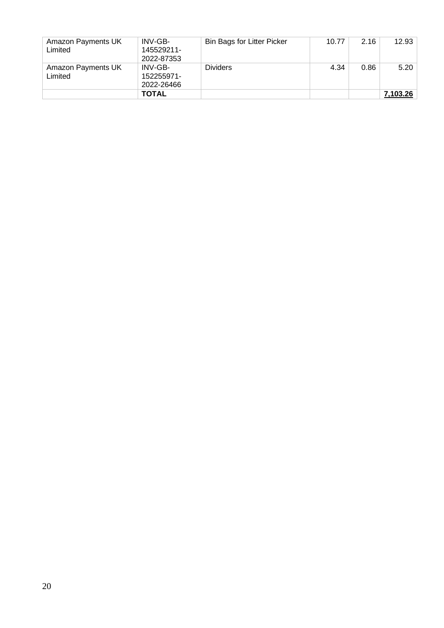| Amazon Payments UK<br>Limited | INV-GB-<br>145529211-<br>2022-87353 | <b>Bin Bags for Litter Picker</b> | 10.77 | 2.16 | 12.93    |
|-------------------------------|-------------------------------------|-----------------------------------|-------|------|----------|
| Amazon Payments UK<br>Limited | INV-GB-<br>152255971-<br>2022-26466 | <b>Dividers</b>                   | 4.34  | 0.86 | 5.20     |
|                               | <b>TOTAL</b>                        |                                   |       |      | 7,103.26 |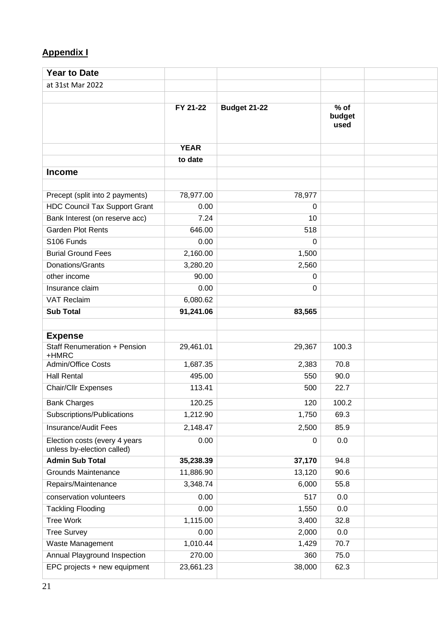## **Appendix I**

| <b>Year to Date</b>                                         |             |                     |                          |  |
|-------------------------------------------------------------|-------------|---------------------|--------------------------|--|
| at 31st Mar 2022                                            |             |                     |                          |  |
|                                                             |             |                     |                          |  |
|                                                             | FY 21-22    | <b>Budget 21-22</b> | $%$ of<br>budget<br>used |  |
|                                                             | <b>YEAR</b> |                     |                          |  |
|                                                             | to date     |                     |                          |  |
| <b>Income</b>                                               |             |                     |                          |  |
|                                                             |             |                     |                          |  |
| Precept (split into 2 payments)                             | 78,977.00   | 78,977              |                          |  |
| <b>HDC Council Tax Support Grant</b>                        | 0.00        | 0                   |                          |  |
| Bank Interest (on reserve acc)                              | 7.24        | 10                  |                          |  |
| <b>Garden Plot Rents</b>                                    | 646.00      | 518                 |                          |  |
| S106 Funds                                                  | 0.00        | 0                   |                          |  |
| <b>Burial Ground Fees</b>                                   | 2,160.00    | 1,500               |                          |  |
| Donations/Grants                                            | 3,280.20    | 2,560               |                          |  |
| other income                                                | 90.00       | 0                   |                          |  |
| Insurance claim                                             | 0.00        | 0                   |                          |  |
| <b>VAT Reclaim</b>                                          | 6,080.62    |                     |                          |  |
| <b>Sub Total</b>                                            | 91,241.06   | 83,565              |                          |  |
|                                                             |             |                     |                          |  |
| <b>Expense</b>                                              |             |                     |                          |  |
| <b>Staff Renumeration + Pension</b><br>+HMRC                | 29,461.01   | 29,367              | 100.3                    |  |
| Admin/Office Costs                                          | 1,687.35    | 2,383               | 70.8                     |  |
| <b>Hall Rental</b>                                          | 495.00      | 550                 | 90.0                     |  |
| <b>Chair/Cllr Expenses</b>                                  | 113.41      | 500                 | 22.7                     |  |
| <b>Bank Charges</b>                                         | 120.25      | 120                 | 100.2                    |  |
| Subscriptions/Publications                                  | 1,212.90    | 1,750               | 69.3                     |  |
| Insurance/Audit Fees                                        | 2,148.47    | 2,500               | 85.9                     |  |
| Election costs (every 4 years<br>unless by-election called) | 0.00        | 0                   | 0.0                      |  |
| <b>Admin Sub Total</b>                                      | 35,238.39   | 37,170              | 94.8                     |  |
| <b>Grounds Maintenance</b>                                  | 11,886.90   | 13,120              | 90.6                     |  |
| Repairs/Maintenance                                         | 3,348.74    | 6,000               | 55.8                     |  |
| conservation volunteers                                     | 0.00        | 517                 | 0.0                      |  |
| <b>Tackling Flooding</b>                                    | 0.00        | 1,550               | 0.0                      |  |
| <b>Tree Work</b>                                            | 1,115.00    | 3,400               | 32.8                     |  |
| <b>Tree Survey</b>                                          | 0.00        | 2,000               | 0.0                      |  |
| Waste Management                                            | 1,010.44    | 1,429               | 70.7                     |  |
| Annual Playground Inspection                                | 270.00      | 360                 | 75.0                     |  |
| EPC projects + new equipment                                | 23,661.23   | 38,000              | 62.3                     |  |